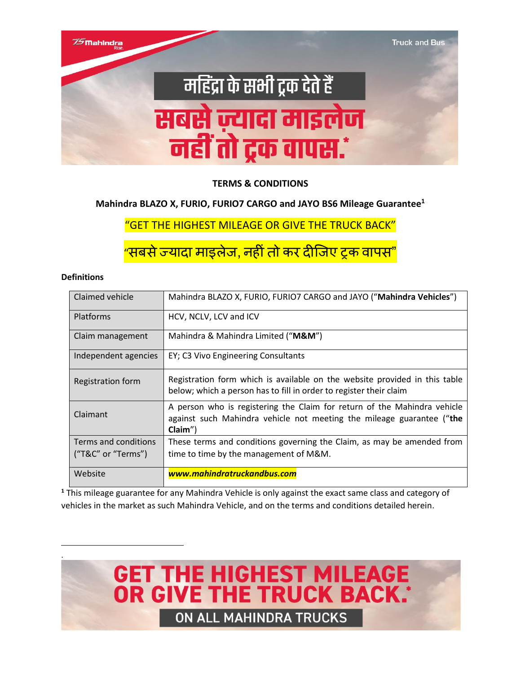

#### **TERMS & CONDITIONS**

#### **Mahindra BLAZO X, FURIO, FURIO7 CARGO and JAYO BS6 Mileage Guarantee<sup>1</sup>**

"GET THE HIGHEST MILEAGE OR GIVE THE TRUCK BACK"

"सबसे ज्यादा माइलेज, नहीं तो कर दीजिए ट्रक वापस"

#### **Definitions**

.

| Claimed vehicle      | Mahindra BLAZO X, FURIO, FURIO7 CARGO and JAYO ("Mahindra Vehicles")                                                                                            |
|----------------------|-----------------------------------------------------------------------------------------------------------------------------------------------------------------|
| Platforms            | HCV, NCLV, LCV and ICV                                                                                                                                          |
| Claim management     | Mahindra & Mahindra Limited (" <b>M&amp;M</b> ")                                                                                                                |
| Independent agencies | EY; C3 Vivo Engineering Consultants                                                                                                                             |
| Registration form    | Registration form which is available on the website provided in this table<br>below; which a person has to fill in order to register their claim                |
| Claimant             | A person who is registering the Claim for return of the Mahindra vehicle<br>against such Mahindra vehicle not meeting the mileage guarantee ("the<br>$Claim'$ ) |
| Terms and conditions | These terms and conditions governing the Claim, as may be amended from                                                                                          |
| ("T&C" or "Terms")   | time to time by the management of M&M.                                                                                                                          |
| Website              | www.mahindratruckandbus.com                                                                                                                                     |

**<sup>1</sup>** This mileage guarantee for any Mahindra Vehicle is only against the exact same class and category of vehicles in the market as such Mahindra Vehicle, and on the terms and conditions detailed herein.

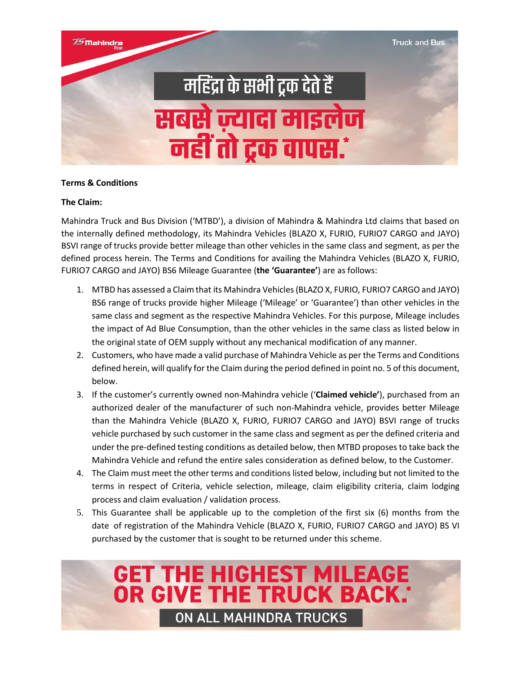

#### **Terms & Conditions**

#### **The Claim:**

Mahindra Truck and Bus Division ('MTBD'), a division of Mahindra & Mahindra Ltd claims that based on the internally defined methodology, its Mahindra Vehicles (BLAZO X, FURIO, FURIO7 CARGO and JAYO) BSVI range of trucks provide better mileage than other vehicles in the same class and segment, as per the defined process herein. The Terms and Conditions for availing the Mahindra Vehicles (BLAZO X, FURIO, FURIO7 CARGO and JAYO) BS6 Mileage Guarantee (**the 'Guarantee'**) are as follows:

- 1. MTBD has assessed a Claim that its Mahindra Vehicles (BLAZO X, FURIO, FURIO7 CARGO and JAYO) BS6 range of trucks provide higher Mileage ('Mileage' or 'Guarantee') than other vehicles in the same class and segment as the respective Mahindra Vehicles. For this purpose, Mileage includes the impact of Ad Blue Consumption, than the other vehicles in the same class as listed below in the original state of OEM supply without any mechanical modification of any manner.
- 2. Customers, who have made a valid purchase of Mahindra Vehicle as per the Terms and Conditions defined herein, will qualify for the Claim during the period defined in point no. 5 of this document, below.
- 3. If the customer's currently owned non-Mahindra vehicle ('**Claimed vehicle'**), purchased from an authorized dealer of the manufacturer of such non-Mahindra vehicle, provides better Mileage than the Mahindra Vehicle (BLAZO X, FURIO, FURIO7 CARGO and JAYO) BSVI range of trucks vehicle purchased by such customer in the same class and segment as per the defined criteria and under the pre-defined testing conditions as detailed below, then MTBD proposes to take back the Mahindra Vehicle and refund the entire sales consideration as defined below, to the Customer.
- 4. The Claim must meet the other terms and conditions listed below, including but not limited to the terms in respect of Criteria, vehicle selection, mileage, claim eligibility criteria, claim lodging process and claim evaluation / validation process.
- 5. This Guarantee shall be applicable up to the completion of the first six (6) months from the date of registration of the Mahindra Vehicle (BLAZO X, FURIO, FURIO7 CARGO and JAYO) BS VI purchased by the customer that is sought to be returned under this scheme.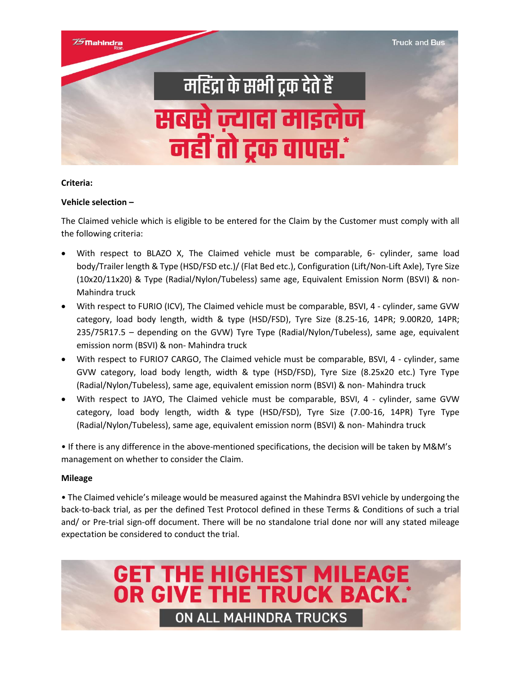

#### **Criteria:**

#### **Vehicle selection –**

The Claimed vehicle which is eligible to be entered for the Claim by the Customer must comply with all the following criteria:

- With respect to BLAZO X, The Claimed vehicle must be comparable, 6- cylinder, same load body/Trailer length & Type (HSD/FSD etc.)/ (Flat Bed etc.), Configuration (Lift/Non-Lift Axle), Tyre Size (10x20/11x20) & Type (Radial/Nylon/Tubeless) same age, Equivalent Emission Norm (BSVI) & non-Mahindra truck
- With respect to FURIO (ICV), The Claimed vehicle must be comparable, BSVI, 4 cylinder, same GVW category, load body length, width & type (HSD/FSD), Tyre Size (8.25-16, 14PR; 9.00R20, 14PR; 235/75R17.5 – depending on the GVW) Tyre Type (Radial/Nylon/Tubeless), same age, equivalent emission norm (BSVI) & non- Mahindra truck
- With respect to FURIO7 CARGO, The Claimed vehicle must be comparable, BSVI, 4 cylinder, same GVW category, load body length, width & type (HSD/FSD), Tyre Size (8.25x20 etc.) Tyre Type (Radial/Nylon/Tubeless), same age, equivalent emission norm (BSVI) & non- Mahindra truck
- With respect to JAYO, The Claimed vehicle must be comparable, BSVI, 4 cylinder, same GVW category, load body length, width & type (HSD/FSD), Tyre Size (7.00-16, 14PR) Tyre Type (Radial/Nylon/Tubeless), same age, equivalent emission norm (BSVI) & non- Mahindra truck

• If there is any difference in the above-mentioned specifications, the decision will be taken by M&M's management on whether to consider the Claim.

#### **Mileage**

• The Claimed vehicle's mileage would be measured against the Mahindra BSVI vehicle by undergoing the back-to-back trial, as per the defined Test Protocol defined in these Terms & Conditions of such a trial and/ or Pre-trial sign-off document. There will be no standalone trial done nor will any stated mileage expectation be considered to conduct the trial.

**GET THE HIGHEST MILEAGE<br>OR GIVE THE TRUCK BACK.** 

**ON ALL MAHINDRA TRUCKS**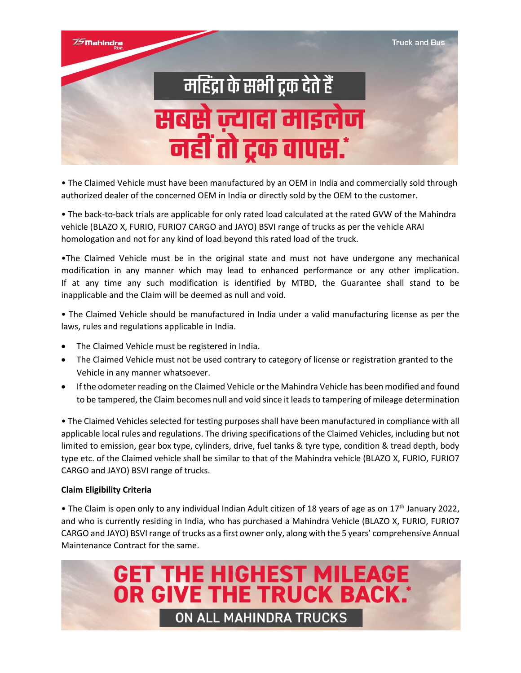

• The Claimed Vehicle must have been manufactured by an OEM in India and commercially sold through authorized dealer of the concerned OEM in India or directly sold by the OEM to the customer.

• The back-to-back trials are applicable for only rated load calculated at the rated GVW of the Mahindra vehicle (BLAZO X, FURIO, FURIO7 CARGO and JAYO) BSVI range of trucks as per the vehicle ARAI homologation and not for any kind of load beyond this rated load of the truck.

•The Claimed Vehicle must be in the original state and must not have undergone any mechanical modification in any manner which may lead to enhanced performance or any other implication. If at any time any such modification is identified by MTBD, the Guarantee shall stand to be inapplicable and the Claim will be deemed as null and void.

• The Claimed Vehicle should be manufactured in India under a valid manufacturing license as per the laws, rules and regulations applicable in India.

- The Claimed Vehicle must be registered in India.
- The Claimed Vehicle must not be used contrary to category of license or registration granted to the Vehicle in any manner whatsoever.
- If the odometer reading on the Claimed Vehicle or the Mahindra Vehicle has been modified and found to be tampered, the Claim becomes null and void since it leads to tampering of mileage determination

• The Claimed Vehicles selected for testing purposes shall have been manufactured in compliance with all applicable local rules and regulations. The driving specifications of the Claimed Vehicles, including but not limited to emission, gear box type, cylinders, drive, fuel tanks & tyre type, condition & tread depth, body type etc. of the Claimed vehicle shall be similar to that of the Mahindra vehicle (BLAZO X, FURIO, FURIO7 CARGO and JAYO) BSVI range of trucks.

#### **Claim Eligibility Criteria**

• The Claim is open only to any individual Indian Adult citizen of 18 years of age as on 17th January 2022, and who is currently residing in India, who has purchased a Mahindra Vehicle (BLAZO X, FURIO, FURIO7 CARGO and JAYO) BSVI range of trucks as a first owner only, along with the 5 years' comprehensive Annual Maintenance Contract for the same.

**GET THE HIGHEST MILEAGE<br>OR GIVE THE TRUCK BACK.** 

**ON ALL MAHINDRA TRUCKS**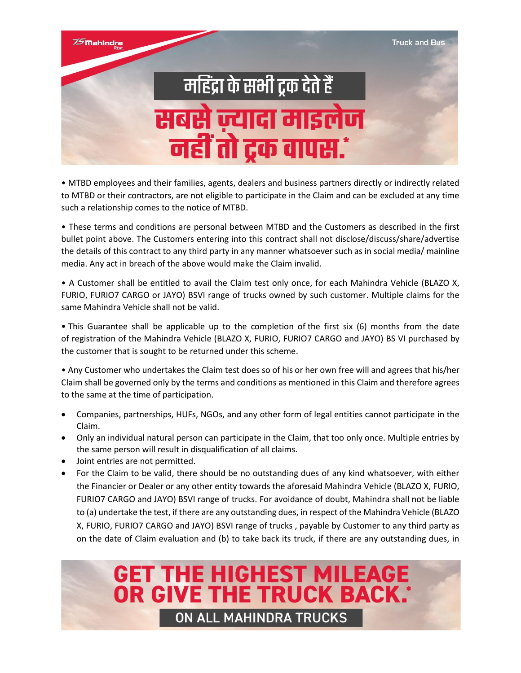

• MTBD employees and their families, agents, dealers and business partners directly or indirectly related to MTBD or their contractors, are not eligible to participate in the Claim and can be excluded at any time such a relationship comes to the notice of MTBD.

• These terms and conditions are personal between MTBD and the Customers as described in the first bullet point above. The Customers entering into this contract shall not disclose/discuss/share/advertise the details of this contract to any third party in any manner whatsoever such as in social media/ mainline media. Any act in breach of the above would make the Claim invalid.

• A Customer shall be entitled to avail the Claim test only once, for each Mahindra Vehicle (BLAZO X, FURIO, FURIO7 CARGO or JAYO) BSVI range of trucks owned by such customer. Multiple claims for the same Mahindra Vehicle shall not be valid.

• This Guarantee shall be applicable up to the completion of the first six (6) months from the date of registration of the Mahindra Vehicle (BLAZO X, FURIO, FURIO7 CARGO and JAYO) BS VI purchased by the customer that is sought to be returned under this scheme.

• Any Customer who undertakes the Claim test does so of his or her own free will and agrees that his/her Claim shall be governed only by the terms and conditions as mentioned in this Claim and therefore agrees to the same at the time of participation.

- Companies, partnerships, HUFs, NGOs, and any other form of legal entities cannot participate in the Claim.
- Only an individual natural person can participate in the Claim, that too only once. Multiple entries by the same person will result in disqualification of all claims.
- Joint entries are not permitted.
- For the Claim to be valid, there should be no outstanding dues of any kind whatsoever, with either the Financier or Dealer or any other entity towards the aforesaid Mahindra Vehicle (BLAZO X, FURIO, FURIO7 CARGO and JAYO) BSVI range of trucks. For avoidance of doubt, Mahindra shall not be liable to (a) undertake the test, if there are any outstanding dues, in respect of the Mahindra Vehicle (BLAZO X, FURIO, FURIO7 CARGO and JAYO) BSVI range of trucks , payable by Customer to any third party as on the date of Claim evaluation and (b) to take back its truck, if there are any outstanding dues, in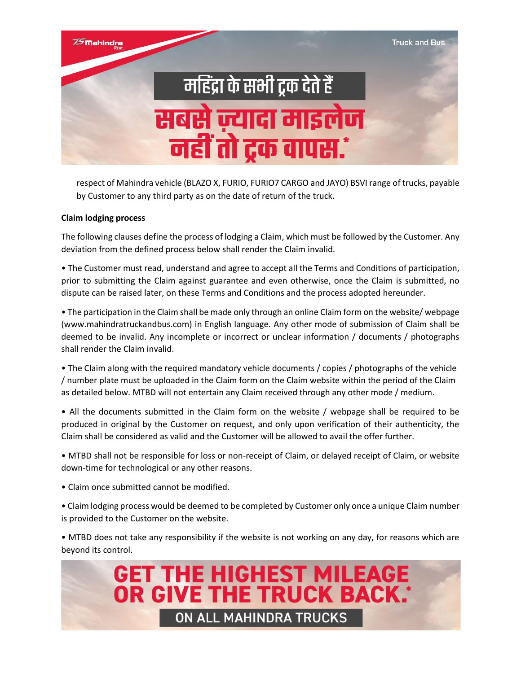

respect of Mahindra vehicle (BLAZO X, FURIO, FURIO7 CARGO and JAYO) BSVI range of trucks, payable by Customer to any third party as on the date of return of the truck.

#### **Claim lodging process**

The following clauses define the process of lodging a Claim, which must be followed by the Customer. Any deviation from the defined process below shall render the Claim invalid.

• The Customer must read, understand and agree to accept all the Terms and Conditions of participation, prior to submitting the Claim against guarantee and even otherwise, once the Claim is submitted, no dispute can be raised later, on these Terms and Conditions and the process adopted hereunder.

• The participation in the Claim shall be made only through an online Claim form on the website/ webpage (www.mahindratruckandbus.com) in English language. Any other mode of submission of Claim shall be deemed to be invalid. Any incomplete or incorrect or unclear information / documents / photographs shall render the Claim invalid.

• The Claim along with the required mandatory vehicle documents / copies / photographs of the vehicle / number plate must be uploaded in the Claim form on the Claim website within the period of the Claim as detailed below. MTBD will not entertain any Claim received through any other mode / medium.

• All the documents submitted in the Claim form on the website / webpage shall be required to be produced in original by the Customer on request, and only upon verification of their authenticity, the Claim shall be considered as valid and the Customer will be allowed to avail the offer further.

• MTBD shall not be responsible for loss or non-receipt of Claim, or delayed receipt of Claim, or website down-time for technological or any other reasons.

• Claim once submitted cannot be modified.

• Claim lodging process would be deemed to be completed by Customer only once a unique Claim number is provided to the Customer on the website.

• MTBD does not take any responsibility if the website is not working on any day, for reasons which are beyond its control.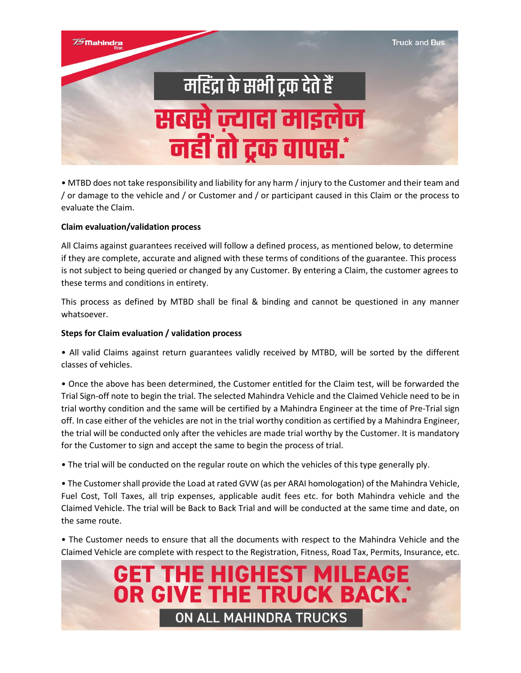

• MTBD does not take responsibility and liability for any harm / injury to the Customer and their team and / or damage to the vehicle and / or Customer and / or participant caused in this Claim or the process to evaluate the Claim.

#### **Claim evaluation/validation process**

All Claims against guarantees received will follow a defined process, as mentioned below, to determine if they are complete, accurate and aligned with these terms of conditions of the guarantee. This process is not subject to being queried or changed by any Customer. By entering a Claim, the customer agrees to these terms and conditions in entirety.

This process as defined by MTBD shall be final & binding and cannot be questioned in any manner whatsoever.

#### **Steps for Claim evaluation / validation process**

• All valid Claims against return guarantees validly received by MTBD, will be sorted by the different classes of vehicles.

• Once the above has been determined, the Customer entitled for the Claim test, will be forwarded the Trial Sign-off note to begin the trial. The selected Mahindra Vehicle and the Claimed Vehicle need to be in trial worthy condition and the same will be certified by a Mahindra Engineer at the time of Pre-Trial sign off. In case either of the vehicles are not in the trial worthy condition as certified by a Mahindra Engineer, the trial will be conducted only after the vehicles are made trial worthy by the Customer. It is mandatory for the Customer to sign and accept the same to begin the process of trial.

• The trial will be conducted on the regular route on which the vehicles of this type generally ply.

• The Customer shall provide the Load at rated GVW (as per ARAI homologation) of the Mahindra Vehicle, Fuel Cost, Toll Taxes, all trip expenses, applicable audit fees etc. for both Mahindra vehicle and the Claimed Vehicle. The trial will be Back to Back Trial and will be conducted at the same time and date, on the same route.

• The Customer needs to ensure that all the documents with respect to the Mahindra Vehicle and the Claimed Vehicle are complete with respect to the Registration, Fitness, Road Tax, Permits, Insurance, etc.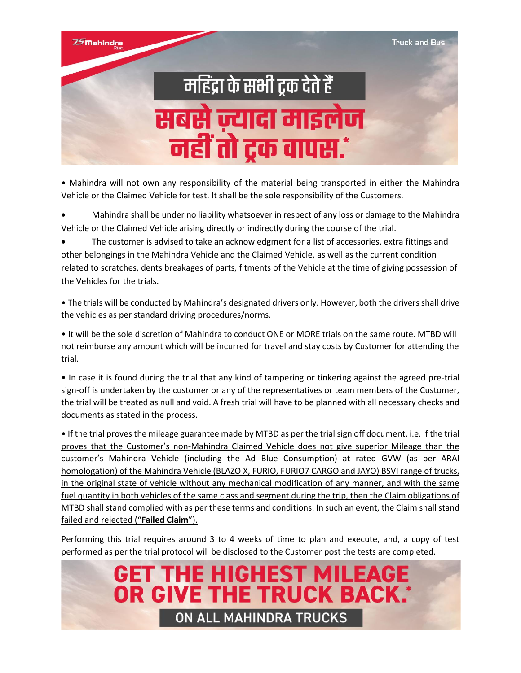

• Mahindra will not own any responsibility of the material being transported in either the Mahindra Vehicle or the Claimed Vehicle for test. It shall be the sole responsibility of the Customers.

• Mahindra shall be under no liability whatsoever in respect of any loss or damage to the Mahindra Vehicle or the Claimed Vehicle arising directly or indirectly during the course of the trial.

• The customer is advised to take an acknowledgment for a list of accessories, extra fittings and other belongings in the Mahindra Vehicle and the Claimed Vehicle, as well as the current condition related to scratches, dents breakages of parts, fitments of the Vehicle at the time of giving possession of the Vehicles for the trials.

• The trials will be conducted by Mahindra's designated drivers only. However, both the drivers shall drive the vehicles as per standard driving procedures/norms.

• It will be the sole discretion of Mahindra to conduct ONE or MORE trials on the same route. MTBD will not reimburse any amount which will be incurred for travel and stay costs by Customer for attending the trial.

• In case it is found during the trial that any kind of tampering or tinkering against the agreed pre-trial sign-off is undertaken by the customer or any of the representatives or team members of the Customer, the trial will be treated as null and void. A fresh trial will have to be planned with all necessary checks and documents as stated in the process.

• If the trial proves the mileage guarantee made by MTBD as per the trial sign off document, i.e. if the trial proves that the Customer's non-Mahindra Claimed Vehicle does not give superior Mileage than the customer's Mahindra Vehicle (including the Ad Blue Consumption) at rated GVW (as per ARAI homologation) of the Mahindra Vehicle (BLAZO X, FURIO, FURIO7 CARGO and JAYO) BSVI range of trucks, in the original state of vehicle without any mechanical modification of any manner, and with the same fuel quantity in both vehicles of the same class and segment during the trip, then the Claim obligations of MTBD shall stand complied with as per these terms and conditions. In such an event, the Claim shall stand failed and rejected ("**Failed Claim**").

Performing this trial requires around 3 to 4 weeks of time to plan and execute, and, a copy of test performed as per the trial protocol will be disclosed to the Customer post the tests are completed.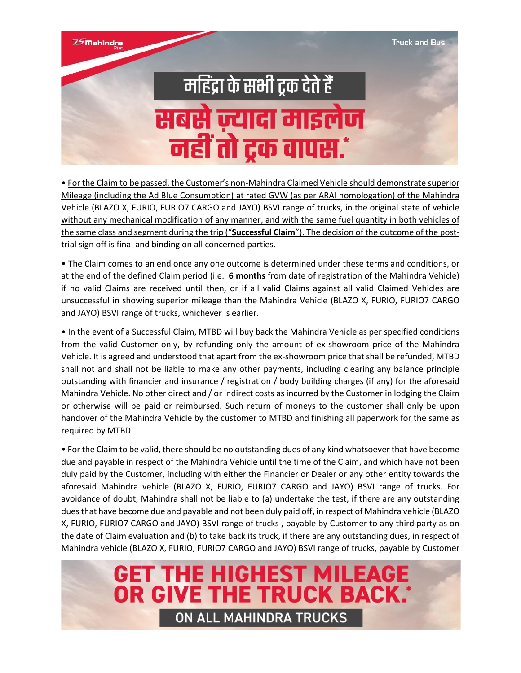75 Mahindra

## महिंद्रा के सभी ट्रक देते हैं सबसे ज़्यादा माइलेज नहीं तो ट्रक वापस.\*

• For the Claim to be passed, the Customer's non-Mahindra Claimed Vehicle should demonstrate superior Mileage (including the Ad Blue Consumption) at rated GVW (as per ARAI homologation) of the Mahindra Vehicle (BLAZO X, FURIO, FURIO7 CARGO and JAYO) BSVI range of trucks, in the original state of vehicle without any mechanical modification of any manner, and with the same fuel quantity in both vehicles of the same class and segment during the trip ("**Successful Claim**"). The decision of the outcome of the posttrial sign off is final and binding on all concerned parties.

• The Claim comes to an end once any one outcome is determined under these terms and conditions, or at the end of the defined Claim period (i.e. **6 months** from date of registration of the Mahindra Vehicle) if no valid Claims are received until then, or if all valid Claims against all valid Claimed Vehicles are unsuccessful in showing superior mileage than the Mahindra Vehicle (BLAZO X, FURIO, FURIO7 CARGO and JAYO) BSVI range of trucks, whichever is earlier.

• In the event of a Successful Claim, MTBD will buy back the Mahindra Vehicle as per specified conditions from the valid Customer only, by refunding only the amount of ex-showroom price of the Mahindra Vehicle. It is agreed and understood that apart from the ex-showroom price that shall be refunded, MTBD shall not and shall not be liable to make any other payments, including clearing any balance principle outstanding with financier and insurance / registration / body building charges (if any) for the aforesaid Mahindra Vehicle. No other direct and / or indirect costs as incurred by the Customer in lodging the Claim or otherwise will be paid or reimbursed. Such return of moneys to the customer shall only be upon handover of the Mahindra Vehicle by the customer to MTBD and finishing all paperwork for the same as required by MTBD.

• For the Claim to be valid, there should be no outstanding dues of any kind whatsoever that have become due and payable in respect of the Mahindra Vehicle until the time of the Claim, and which have not been duly paid by the Customer, including with either the Financier or Dealer or any other entity towards the aforesaid Mahindra vehicle (BLAZO X, FURIO, FURIO7 CARGO and JAYO) BSVI range of trucks. For avoidance of doubt, Mahindra shall not be liable to (a) undertake the test, if there are any outstanding duesthat have become due and payable and not been duly paid off, in respect of Mahindra vehicle (BLAZO X, FURIO, FURIO7 CARGO and JAYO) BSVI range of trucks , payable by Customer to any third party as on the date of Claim evaluation and (b) to take back its truck, if there are any outstanding dues, in respect of Mahindra vehicle (BLAZO X, FURIO, FURIO7 CARGO and JAYO) BSVI range of trucks, payable by Customer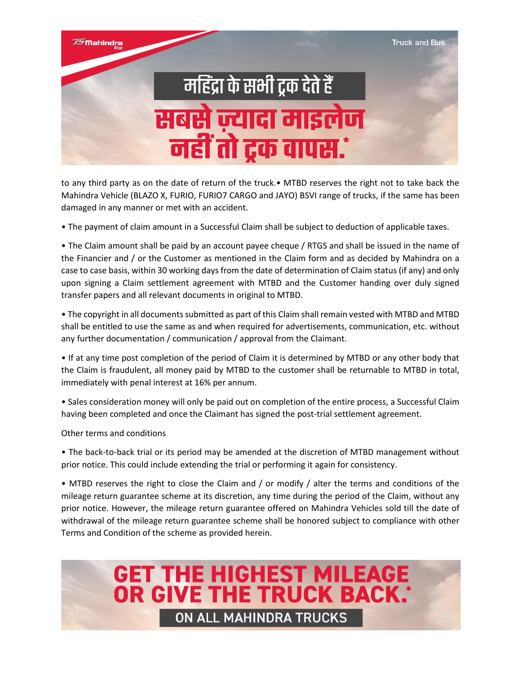

to any third party as on the date of return of the truck.• MTBD reserves the right not to take back the Mahindra Vehicle (BLAZO X, FURIO, FURIO7 CARGO and JAYO) BSVI range of trucks, if the same has been damaged in any manner or met with an accident.

• The payment of claim amount in a Successful Claim shall be subject to deduction of applicable taxes.

• The Claim amount shall be paid by an account payee cheque / RTGS and shall be issued in the name of the Financier and / or the Customer as mentioned in the Claim form and as decided by Mahindra on a case to case basis, within 30 working days from the date of determination of Claim status (if any) and only upon signing a Claim settlement agreement with MTBD and the Customer handing over duly signed transfer papers and all relevant documents in original to MTBD.

• The copyright in all documents submitted as part of this Claim shall remain vested with MTBD and MTBD shall be entitled to use the same as and when required for advertisements, communication, etc. without any further documentation / communication / approval from the Claimant.

• If at any time post completion of the period of Claim it is determined by MTBD or any other body that the Claim is fraudulent, all money paid by MTBD to the customer shall be returnable to MTBD in total, immediately with penal interest at 16% per annum.

• Sales consideration money will only be paid out on completion of the entire process, a Successful Claim having been completed and once the Claimant has signed the post-trial settlement agreement.

Other terms and conditions

• The back-to-back trial or its period may be amended at the discretion of MTBD management without prior notice. This could include extending the trial or performing it again for consistency.

• MTBD reserves the right to close the Claim and / or modify / alter the terms and conditions of the mileage return guarantee scheme at its discretion, any time during the period of the Claim, without any prior notice. However, the mileage return guarantee offered on Mahindra Vehicles sold till the date of withdrawal of the mileage return guarantee scheme shall be honored subject to compliance with other Terms and Condition of the scheme as provided herein.

**GET THE HIGHEST MILEAGE<br>OR GIVE THE TRUCK BACK.** 

**ON ALL MAHINDRA TRUCKS**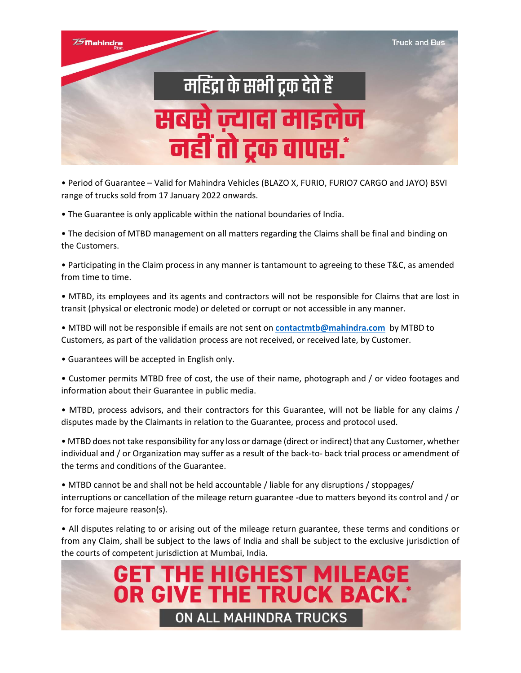

• Period of Guarantee – Valid for Mahindra Vehicles (BLAZO X, FURIO, FURIO7 CARGO and JAYO) BSVI range of trucks sold from 17 January 2022 onwards.

• The Guarantee is only applicable within the national boundaries of India.

• The decision of MTBD management on all matters regarding the Claims shall be final and binding on the Customers.

• Participating in the Claim process in any manner is tantamount to agreeing to these T&C, as amended from time to time.

• MTBD, its employees and its agents and contractors will not be responsible for Claims that are lost in transit (physical or electronic mode) or deleted or corrupt or not accessible in any manner.

• MTBD will not be responsible if emails are not sent on **[contactmtb@mahindra.com](mailto:contactmtb@mahindra.com)** by MTBD to Customers, as part of the validation process are not received, or received late, by Customer.

• Guarantees will be accepted in English only.

• Customer permits MTBD free of cost, the use of their name, photograph and / or video footages and information about their Guarantee in public media.

• MTBD, process advisors, and their contractors for this Guarantee, will not be liable for any claims / disputes made by the Claimants in relation to the Guarantee, process and protocol used.

• MTBD does not take responsibility for any loss or damage (direct or indirect) that any Customer, whether individual and / or Organization may suffer as a result of the back-to- back trial process or amendment of the terms and conditions of the Guarantee.

• MTBD cannot be and shall not be held accountable / liable for any disruptions / stoppages/ interruptions or cancellation of the mileage return guarantee **-**due to matters beyond its control and / or for force majeure reason(s).

• All disputes relating to or arising out of the mileage return guarantee, these terms and conditions or from any Claim, shall be subject to the laws of India and shall be subject to the exclusive jurisdiction of the courts of competent jurisdiction at Mumbai, India.